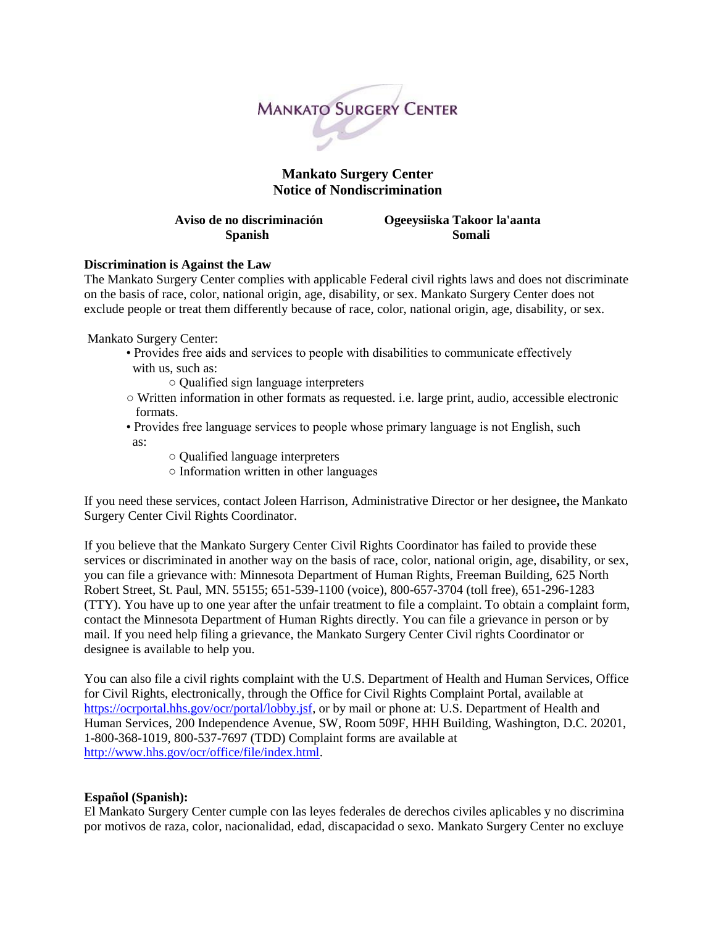

## **Mankato Surgery Center Notice of Nondiscrimination**

**Aviso de no discriminación Ogeeysiiska Takoor la'aanta Spanish Somali** 

## **Discrimination is Against the Law**

The Mankato Surgery Center complies with applicable Federal civil rights laws and does not discriminate on the basis of race, color, national origin, age, disability, or sex. Mankato Surgery Center does not exclude people or treat them differently because of race, color, national origin, age, disability, or sex.

Mankato Surgery Center:

- Provides free aids and services to people with disabilities to communicate effectively with us, such as:
	- Qualified sign language interpreters
- Written information in other formats as requested. i.e. large print, audio, accessible electronic formats.
- Provides free language services to people whose primary language is not English, such as:
	- Qualified language interpreters
	- Information written in other languages

If you need these services, contact Joleen Harrison, Administrative Director or her designee**,** the Mankato Surgery Center Civil Rights Coordinator.

If you believe that the Mankato Surgery Center Civil Rights Coordinator has failed to provide these services or discriminated in another way on the basis of race, color, national origin, age, disability, or sex, you can file a grievance with: Minnesota Department of Human Rights, Freeman Building, 625 North Robert Street, St. Paul, MN. 55155; 651-539-1100 (voice), 800-657-3704 (toll free), 651-296-1283 (TTY). You have up to one year after the unfair treatment to file a complaint. To obtain a complaint form, contact the Minnesota Department of Human Rights directly. You can file a grievance in person or by mail. If you need help filing a grievance, the Mankato Surgery Center Civil rights Coordinator or designee is available to help you.

You can also file a civil rights complaint with the U.S. Department of Health and Human Services, Office for Civil Rights, electronically, through the Office for Civil Rights Complaint Portal, available at [https://ocrportal.hhs.gov/ocr/portal/lobby.jsf,](https://ocrportal.hhs.gov/ocr/portal/lobby.jsf) or by mail or phone at: U.S. Department of Health and Human Services, 200 Independence Avenue, SW, Room 509F, HHH Building, Washington, D.C. 20201, 1-800-368-1019, 800-537-7697 (TDD) Complaint forms are available at [http://www.hhs.gov/ocr/office/file/index.html.](http://www.hhs.gov/ocr/office/file/index.html)

## **Español (Spanish):**

El Mankato Surgery Center cumple con las leyes federales de derechos civiles aplicables y no discrimina por motivos de raza, color, nacionalidad, edad, discapacidad o sexo. Mankato Surgery Center no excluye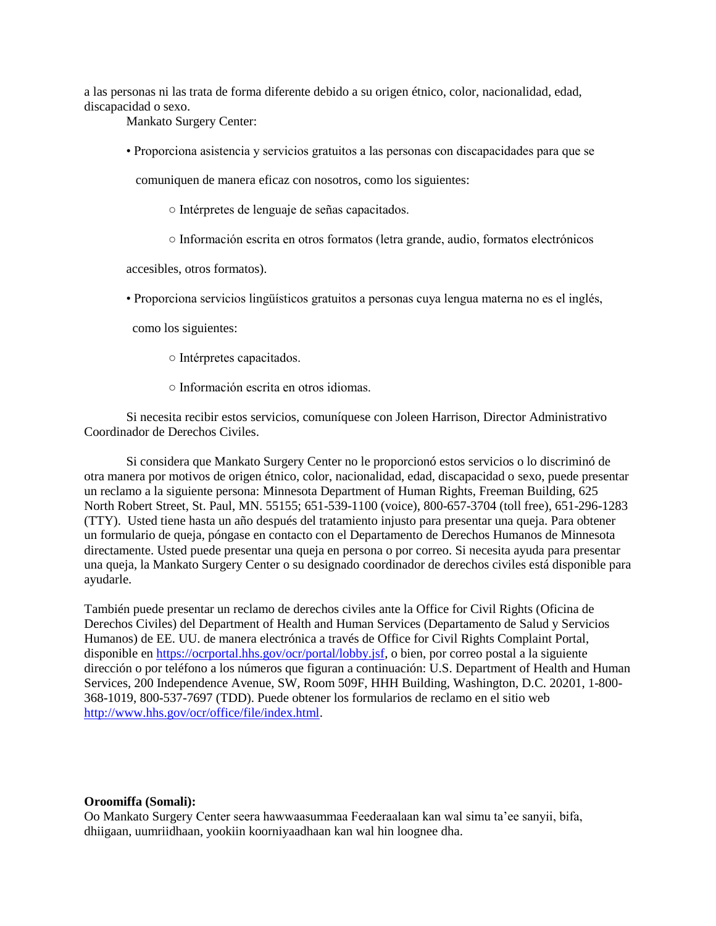a las personas ni las trata de forma diferente debido a su origen étnico, color, nacionalidad, edad, discapacidad o sexo.

Mankato Surgery Center:

• Proporciona asistencia y servicios gratuitos a las personas con discapacidades para que se

comuniquen de manera eficaz con nosotros, como los siguientes:

○ Intérpretes de lenguaje de señas capacitados.

○ Información escrita en otros formatos (letra grande, audio, formatos electrónicos

accesibles, otros formatos).

• Proporciona servicios lingüísticos gratuitos a personas cuya lengua materna no es el inglés,

como los siguientes:

- Intérpretes capacitados.
- Información escrita en otros idiomas.

Si necesita recibir estos servicios, comuníquese con Joleen Harrison, Director Administrativo Coordinador de Derechos Civiles.

Si considera que Mankato Surgery Center no le proporcionó estos servicios o lo discriminó de otra manera por motivos de origen étnico, color, nacionalidad, edad, discapacidad o sexo, puede presentar un reclamo a la siguiente persona: Minnesota Department of Human Rights, Freeman Building, 625 North Robert Street, St. Paul, MN. 55155; 651-539-1100 (voice), 800-657-3704 (toll free), 651-296-1283 (TTY). Usted tiene hasta un año después del tratamiento injusto para presentar una queja. Para obtener un formulario de queja, póngase en contacto con el Departamento de Derechos Humanos de Minnesota directamente. Usted puede presentar una queja en persona o por correo. Si necesita ayuda para presentar una queja, la Mankato Surgery Center o su designado coordinador de derechos civiles está disponible para ayudarle.

También puede presentar un reclamo de derechos civiles ante la Office for Civil Rights (Oficina de Derechos Civiles) del Department of Health and Human Services (Departamento de Salud y Servicios Humanos) de EE. UU. de manera electrónica a través de Office for Civil Rights Complaint Portal, disponible e[n https://ocrportal.hhs.gov/ocr/portal/lobby.jsf,](https://ocrportal.hhs.gov/ocr/portal/lobby.jsf) o bien, por correo postal a la siguiente dirección o por teléfono a los números que figuran a continuación: U.S. Department of Health and Human Services, 200 Independence Avenue, SW, Room 509F, HHH Building, Washington, D.C. 20201, 1-800- 368-1019, 800-537-7697 (TDD). Puede obtener los formularios de reclamo en el sitio web [http://www.hhs.gov/ocr/office/file/index.html.](http://www.hhs.gov/ocr/office/file/index.html)

## **Oroomiffa (Somali):**

Oo Mankato Surgery Center seera hawwaasummaa Feederaalaan kan wal simu ta'ee sanyii, bifa, dhiigaan, uumriidhaan, yookiin koorniyaadhaan kan wal hin loognee dha.